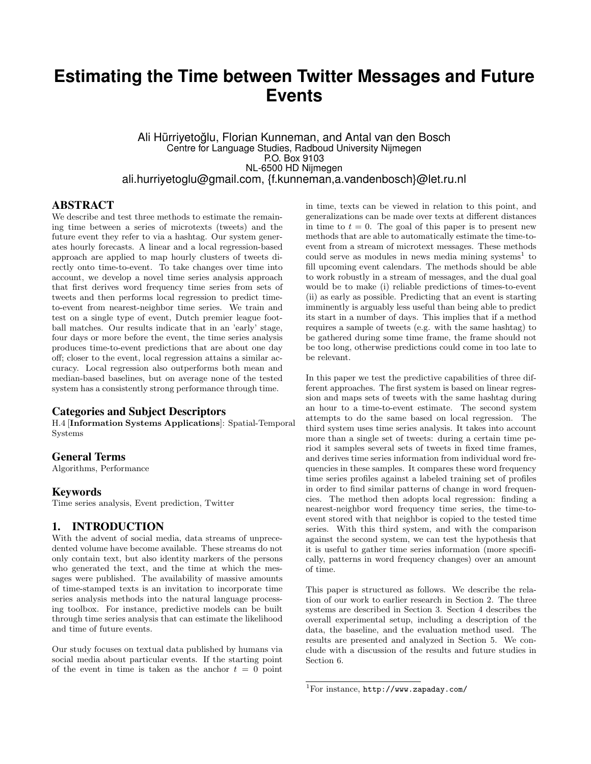# **Estimating the Time between Twitter Messages and Future Events**

Ali Hürriyetoglu, Florian Kunneman, and Antal van den Bosch ˘ Centre for Language Studies, Radboud University Nijmegen P.O. Box 9103 NL-6500 HD Nijmegen ali.hurriyetoglu@gmail.com, {f.kunneman,a.vandenbosch}@let.ru.nl

#### ABSTRACT

We describe and test three methods to estimate the remaining time between a series of microtexts (tweets) and the future event they refer to via a hashtag. Our system generates hourly forecasts. A linear and a local regression-based approach are applied to map hourly clusters of tweets directly onto time-to-event. To take changes over time into account, we develop a novel time series analysis approach that first derives word frequency time series from sets of tweets and then performs local regression to predict timeto-event from nearest-neighbor time series. We train and test on a single type of event, Dutch premier league football matches. Our results indicate that in an 'early' stage, four days or more before the event, the time series analysis produces time-to-event predictions that are about one day off; closer to the event, local regression attains a similar accuracy. Local regression also outperforms both mean and median-based baselines, but on average none of the tested system has a consistently strong performance through time.

#### Categories and Subject Descriptors

H.4 [Information Systems Applications]: Spatial-Temporal Systems

#### General Terms

Algorithms, Performance

#### Keywords

Time series analysis, Event prediction, Twitter

# 1. INTRODUCTION

With the advent of social media, data streams of unprecedented volume have become available. These streams do not only contain text, but also identity markers of the persons who generated the text, and the time at which the messages were published. The availability of massive amounts of time-stamped texts is an invitation to incorporate time series analysis methods into the natural language processing toolbox. For instance, predictive models can be built through time series analysis that can estimate the likelihood and time of future events.

Our study focuses on textual data published by humans via social media about particular events. If the starting point of the event in time is taken as the anchor  $t = 0$  point

in time, texts can be viewed in relation to this point, and generalizations can be made over texts at different distances in time to  $t = 0$ . The goal of this paper is to present new methods that are able to automatically estimate the time-toevent from a stream of microtext messages. These methods could serve as modules in news media mining systems<sup>1</sup> to fill upcoming event calendars. The methods should be able to work robustly in a stream of messages, and the dual goal would be to make (i) reliable predictions of times-to-event (ii) as early as possible. Predicting that an event is starting imminently is arguably less useful than being able to predict its start in a number of days. This implies that if a method requires a sample of tweets (e.g. with the same hashtag) to be gathered during some time frame, the frame should not be too long, otherwise predictions could come in too late to be relevant.

In this paper we test the predictive capabilities of three different approaches. The first system is based on linear regression and maps sets of tweets with the same hashtag during an hour to a time-to-event estimate. The second system attempts to do the same based on local regression. The third system uses time series analysis. It takes into account more than a single set of tweets: during a certain time period it samples several sets of tweets in fixed time frames, and derives time series information from individual word frequencies in these samples. It compares these word frequency time series profiles against a labeled training set of profiles in order to find similar patterns of change in word frequencies. The method then adopts local regression: finding a nearest-neighbor word frequency time series, the time-toevent stored with that neighbor is copied to the tested time series. With this third system, and with the comparison against the second system, we can test the hypothesis that it is useful to gather time series information (more specifically, patterns in word frequency changes) over an amount of time.

This paper is structured as follows. We describe the relation of our work to earlier research in Section 2. The three systems are described in Section 3. Section 4 describes the overall experimental setup, including a description of the data, the baseline, and the evaluation method used. The results are presented and analyzed in Section 5. We conclude with a discussion of the results and future studies in Section 6.

<sup>1</sup>For instance, http://www.zapaday.com/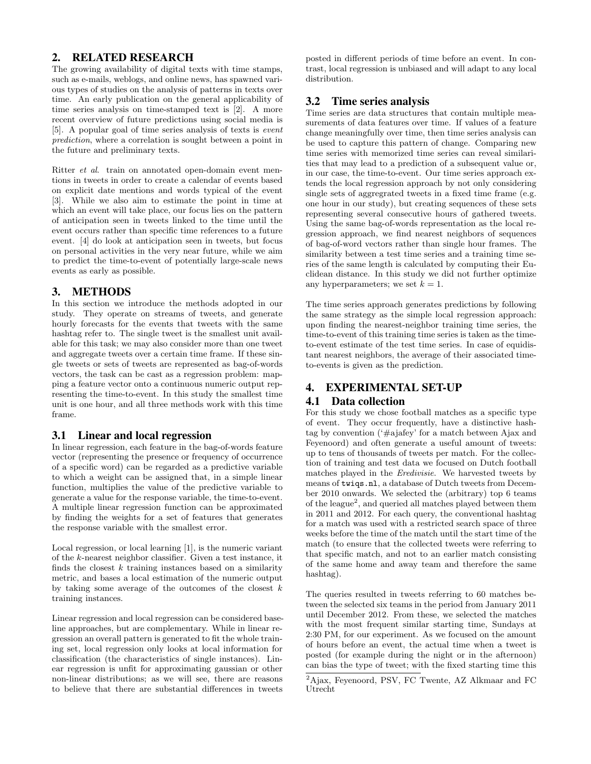# 2. RELATED RESEARCH

The growing availability of digital texts with time stamps, such as e-mails, weblogs, and online news, has spawned various types of studies on the analysis of patterns in texts over time. An early publication on the general applicability of time series analysis on time-stamped text is [2]. A more recent overview of future predictions using social media is [5]. A popular goal of time series analysis of texts is event prediction, where a correlation is sought between a point in the future and preliminary texts.

Ritter et al. train on annotated open-domain event mentions in tweets in order to create a calendar of events based on explicit date mentions and words typical of the event [3]. While we also aim to estimate the point in time at which an event will take place, our focus lies on the pattern of anticipation seen in tweets linked to the time until the event occurs rather than specific time references to a future event. [4] do look at anticipation seen in tweets, but focus on personal activities in the very near future, while we aim to predict the time-to-event of potentially large-scale news events as early as possible.

# 3. METHODS

In this section we introduce the methods adopted in our study. They operate on streams of tweets, and generate hourly forecasts for the events that tweets with the same hashtag refer to. The single tweet is the smallest unit available for this task; we may also consider more than one tweet and aggregate tweets over a certain time frame. If these single tweets or sets of tweets are represented as bag-of-words vectors, the task can be cast as a regression problem: mapping a feature vector onto a continuous numeric output representing the time-to-event. In this study the smallest time unit is one hour, and all three methods work with this time frame.

# 3.1 Linear and local regression

In linear regression, each feature in the bag-of-words feature vector (representing the presence or frequency of occurrence of a specific word) can be regarded as a predictive variable to which a weight can be assigned that, in a simple linear function, multiplies the value of the predictive variable to generate a value for the response variable, the time-to-event. A multiple linear regression function can be approximated by finding the weights for a set of features that generates the response variable with the smallest error.

Local regression, or local learning [1], is the numeric variant of the k-nearest neighbor classifier. Given a test instance, it finds the closest  $k$  training instances based on a similarity metric, and bases a local estimation of the numeric output by taking some average of the outcomes of the closest  $k$ training instances.

Linear regression and local regression can be considered baseline approaches, but are complementary. While in linear regression an overall pattern is generated to fit the whole training set, local regression only looks at local information for classification (the characteristics of single instances). Linear regression is unfit for approximating gaussian or other non-linear distributions; as we will see, there are reasons to believe that there are substantial differences in tweets

posted in different periods of time before an event. In contrast, local regression is unbiased and will adapt to any local distribution.

# 3.2 Time series analysis

Time series are data structures that contain multiple measurements of data features over time. If values of a feature change meaningfully over time, then time series analysis can be used to capture this pattern of change. Comparing new time series with memorized time series can reveal similarities that may lead to a prediction of a subsequent value or, in our case, the time-to-event. Our time series approach extends the local regression approach by not only considering single sets of aggregrated tweets in a fixed time frame (e.g. one hour in our study), but creating sequences of these sets representing several consecutive hours of gathered tweets. Using the same bag-of-words representation as the local regression approach, we find nearest neighbors of sequences of bag-of-word vectors rather than single hour frames. The similarity between a test time series and a training time series of the same length is calculated by computing their Euclidean distance. In this study we did not further optimize any hyperparameters; we set  $k = 1$ .

The time series approach generates predictions by following the same strategy as the simple local regression approach: upon finding the nearest-neighbor training time series, the time-to-event of this training time series is taken as the timeto-event estimate of the test time series. In case of equidistant nearest neighbors, the average of their associated timeto-events is given as the prediction.

# 4. EXPERIMENTAL SET-UP

# 4.1 Data collection

For this study we chose football matches as a specific type of event. They occur frequently, have a distinctive hashtag by convention ('#ajafey' for a match between Ajax and Feyenoord) and often generate a useful amount of tweets: up to tens of thousands of tweets per match. For the collection of training and test data we focused on Dutch football matches played in the Eredivisie. We harvested tweets by means of twiqs.nl, a database of Dutch tweets from December 2010 onwards. We selected the (arbitrary) top 6 teams of the league<sup>2</sup>, and queried all matches played between them in 2011 and 2012. For each query, the conventional hashtag for a match was used with a restricted search space of three weeks before the time of the match until the start time of the match (to ensure that the collected tweets were referring to that specific match, and not to an earlier match consisting of the same home and away team and therefore the same hashtag).

The queries resulted in tweets referring to 60 matches between the selected six teams in the period from January 2011 until December 2012. From these, we selected the matches with the most frequent similar starting time, Sundays at 2:30 PM, for our experiment. As we focused on the amount of hours before an event, the actual time when a tweet is posted (for example during the night or in the afternoon) can bias the type of tweet; with the fixed starting time this

<sup>2</sup>Ajax, Feyenoord, PSV, FC Twente, AZ Alkmaar and FC Utrecht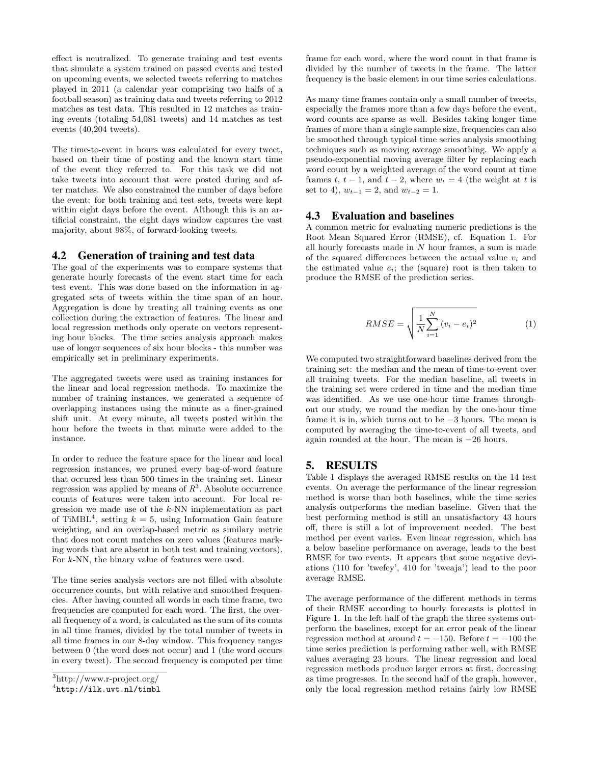effect is neutralized. To generate training and test events that simulate a system trained on passed events and tested on upcoming events, we selected tweets referring to matches played in 2011 (a calendar year comprising two halfs of a football season) as training data and tweets referring to 2012 matches as test data. This resulted in 12 matches as training events (totaling 54,081 tweets) and 14 matches as test events (40,204 tweets).

The time-to-event in hours was calculated for every tweet, based on their time of posting and the known start time of the event they referred to. For this task we did not take tweets into account that were posted during and after matches. We also constrained the number of days before the event: for both training and test sets, tweets were kept within eight days before the event. Although this is an artificial constraint, the eight days window captures the vast majority, about 98%, of forward-looking tweets.

#### 4.2 Generation of training and test data

The goal of the experiments was to compare systems that generate hourly forecasts of the event start time for each test event. This was done based on the information in aggregated sets of tweets within the time span of an hour. Aggregation is done by treating all training events as one collection during the extraction of features. The linear and local regression methods only operate on vectors representing hour blocks. The time series analysis approach makes use of longer sequences of six hour blocks - this number was empirically set in preliminary experiments.

The aggregated tweets were used as training instances for the linear and local regression methods. To maximize the number of training instances, we generated a sequence of overlapping instances using the minute as a finer-grained shift unit. At every minute, all tweets posted within the hour before the tweets in that minute were added to the instance.

In order to reduce the feature space for the linear and local regression instances, we pruned every bag-of-word feature that occured less than 500 times in the training set. Linear regression was applied by means of  $R^3$ . Absolute occurrence counts of features were taken into account. For local regression we made use of the k-NN implementation as part of TiMBL<sup>4</sup>, setting  $k = 5$ , using Information Gain feature weighting, and an overlap-based metric as similary metric that does not count matches on zero values (features marking words that are absent in both test and training vectors). For k-NN, the binary value of features were used.

The time series analysis vectors are not filled with absolute occurrence counts, but with relative and smoothed frequencies. After having counted all words in each time frame, two frequencies are computed for each word. The first, the overall frequency of a word, is calculated as the sum of its counts in all time frames, divided by the total number of tweets in all time frames in our 8-day window. This frequency ranges between 0 (the word does not occur) and 1 (the word occurs in every tweet). The second frequency is computed per time frame for each word, where the word count in that frame is divided by the number of tweets in the frame. The latter frequency is the basic element in our time series calculations.

As many time frames contain only a small number of tweets, especially the frames more than a few days before the event, word counts are sparse as well. Besides taking longer time frames of more than a single sample size, frequencies can also be smoothed through typical time series analysis smoothing techniques such as moving average smoothing. We apply a pseudo-exponential moving average filter by replacing each word count by a weighted average of the word count at time frames t,  $t - 1$ , and  $t - 2$ , where  $w_t = 4$  (the weight at t is set to 4),  $w_{t-1} = 2$ , and  $w_{t-2} = 1$ .

# 4.3 Evaluation and baselines

A common metric for evaluating numeric predictions is the Root Mean Squared Error (RMSE), cf. Equation 1. For all hourly forecasts made in  $N$  hour frames, a sum is made of the squared differences between the actual value  $v_i$  and the estimated value  $e_i$ ; the (square) root is then taken to produce the RMSE of the prediction series.

$$
RMSE = \sqrt{\frac{1}{N} \sum_{i=1}^{N} (v_i - e_i)^2}
$$
 (1)

We computed two straightforward baselines derived from the training set: the median and the mean of time-to-event over all training tweets. For the median baseline, all tweets in the training set were ordered in time and the median time was identified. As we use one-hour time frames throughout our study, we round the median by the one-hour time frame it is in, which turns out to be −3 hours. The mean is computed by averaging the time-to-event of all tweets, and again rounded at the hour. The mean is −26 hours.

# 5. RESULTS

Table 1 displays the averaged RMSE results on the 14 test events. On average the performance of the linear regression method is worse than both baselines, while the time series analysis outperforms the median baseline. Given that the best performing method is still an unsatisfactory 43 hours off, there is still a lot of improvement needed. The best method per event varies. Even linear regression, which has a below baseline performance on average, leads to the best RMSE for two events. It appears that some negative deviations (110 for 'twefey', 410 for 'tweaja') lead to the poor average RMSE.

The average performance of the different methods in terms of their RMSE according to hourly forecasts is plotted in Figure 1. In the left half of the graph the three systems outperform the baselines, except for an error peak of the linear regression method at around  $t = -150$ . Before  $t = -100$  the time series prediction is performing rather well, with RMSE values averaging 23 hours. The linear regression and local regression methods produce larger errors at first, decreasing as time progresses. In the second half of the graph, however, only the local regression method retains fairly low RMSE

<sup>3</sup>http://www.r-project.org/

<sup>4</sup> http://ilk.uvt.nl/timbl